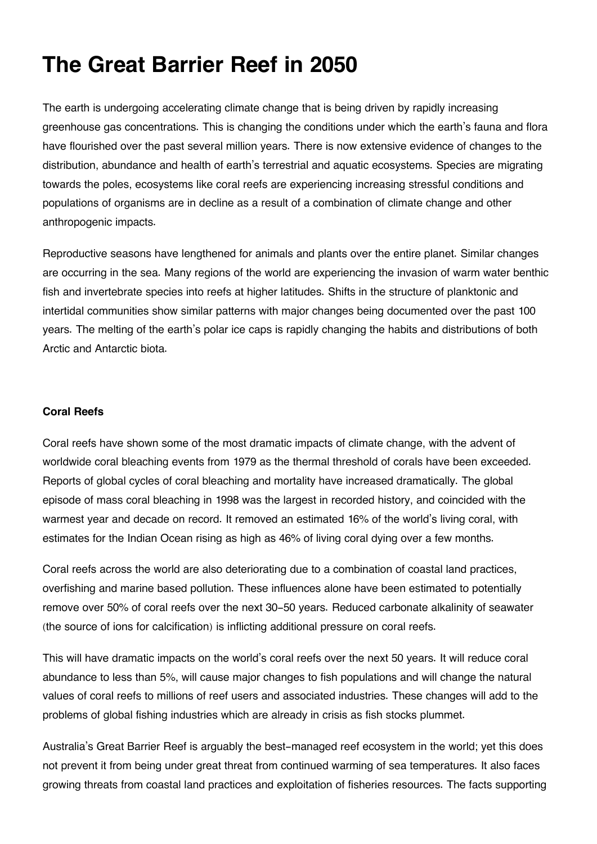# **The Great Barrier Reef in 2050**

The earth is undergoing accelerating climate change that is being driven by rapidly increasing greenhouse gas concentrations. This is changing the conditions under which the earth's fauna and flora have flourished over the past several million years. There is now extensive evidence of changes to the distribution, abundance and health of earth's terrestrial and aquatic ecosystems. Species are migrating towards the poles, ecosystems like coral reefs are experiencing increasing stressful conditions and populations of organisms are in decline as a result of a combination of climate change and other anthropogenic impacts.

Reproductive seasons have lengthened for animals and plants over the entire planet. Similar changes are occurring in the sea. Many regions of the world are experiencing the invasion of warm water benthic fish and invertebrate species into reefs at higher latitudes. Shifts in the structure of planktonic and intertidal communities show similar patterns with major changes being documented over the past 100 years. The melting of the earth's polar ice caps is rapidly changing the habits and distributions of both Arctic and Antarctic biota.

## **Coral Reefs**

Coral reefs have shown some of the most dramatic impacts of climate change, with the advent of worldwide coral bleaching events from 1979 as the thermal threshold of corals have been exceeded. Reports of global cycles of coral bleaching and mortality have increased dramatically. The global episode of mass coral bleaching in 1998 was the largest in recorded history, and coincided with the warmest year and decade on record. It removed an estimated 16% of the world's living coral, with estimates for the Indian Ocean rising as high as 46% of living coral dying over a few months.

Coral reefs across the world are also deteriorating due to a combination of coastal land practices, overfishing and marine based pollution. These influences alone have been estimated to potentially remove over 50% of coral reefs over the next 30-50 years. Reduced carbonate alkalinity of seawater (the source of ions for calcification) is inflicting additional pressure on coral reefs.

This will have dramatic impacts on the world's coral reefs over the next 50 years. It will reduce coral abundance to less than 5%, will cause major changes to fish populations and will change the natural values of coral reefs to millions of reef users and associated industries. These changes will add to the problems of global fishing industries which are already in crisis as fish stocks plummet.

Australia's Great Barrier Reef is arguably the best-managed reef ecosystem in the world; yet this does not prevent it from being under great threat from continued warming of sea temperatures. It also faces growing threats from coastal land practices and exploitation of fisheries resources. The facts supporting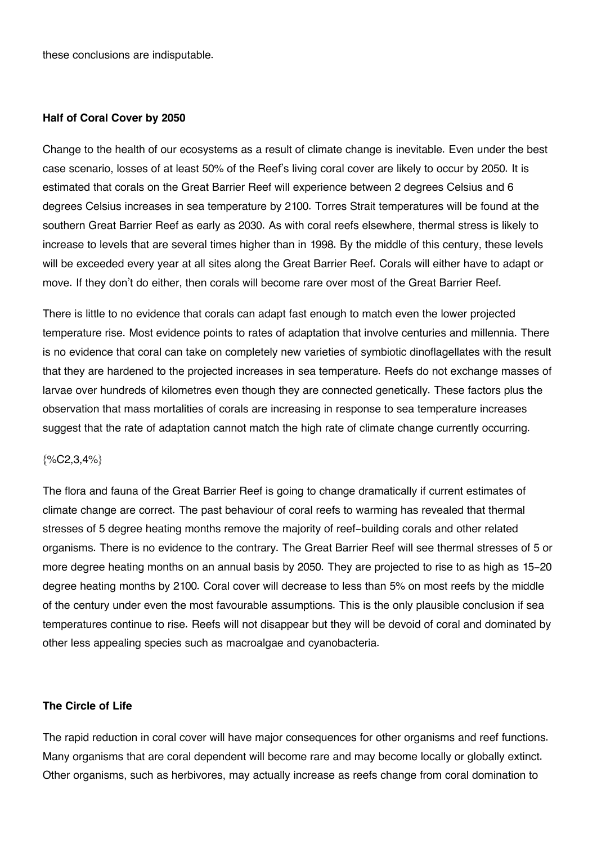these conclusions are indisputable.

#### **Half of Coral Cover by 2050**

Change to the health of our ecosystems as a result of climate change is inevitable. Even under the best case scenario, losses of at least 50% of the Reef's living coral cover are likely to occur by 2050. It is estimated that corals on the Great Barrier Reef will experience between 2 degrees Celsius and 6 degrees Celsius increases in sea temperature by 2100. Torres Strait temperatures will be found at the southern Great Barrier Reef as early as 2030. As with coral reefs elsewhere, thermal stress is likely to increase to levels that are several times higher than in 1998. By the middle of this century, these levels will be exceeded every year at all sites along the Great Barrier Reef. Corals will either have to adapt or move. If they don't do either, then corals will become rare over most of the Great Barrier Reef.

There is little to no evidence that corals can adapt fast enough to match even the lower projected temperature rise. Most evidence points to rates of adaptation that involve centuries and millennia. There is no evidence that coral can take on completely new varieties of symbiotic dinoflagellates with the result that they are hardened to the projected increases in sea temperature. Reefs do not exchange masses of larvae over hundreds of kilometres even though they are connected genetically. These factors plus the observation that mass mortalities of corals are increasing in response to sea temperature increases suggest that the rate of adaptation cannot match the high rate of climate change currently occurring.

## $\{$ %C2,3,4% \}

The flora and fauna of the Great Barrier Reef is going to change dramatically if current estimates of climate change are correct. The past behaviour of coral reefs to warming has revealed that thermal stresses of 5 degree heating months remove the majority of reef-building corals and other related organisms. There is no evidence to the contrary. The Great Barrier Reef will see thermal stresses of 5 or more degree heating months on an annual basis by 2050. They are projected to rise to as high as 15-20 degree heating months by 2100. Coral cover will decrease to less than 5% on most reefs by the middle of the century under even the most favourable assumptions. This is the only plausible conclusion if sea temperatures continue to rise. Reefs will not disappear but they will be devoid of coral and dominated by other less appealing species such as macroalgae and cyanobacteria.

#### **The Circle of Life**

The rapid reduction in coral cover will have major consequences for other organisms and reef functions. Many organisms that are coral dependent will become rare and may become locally or globally extinct. Other organisms, such as herbivores, may actually increase as reefs change from coral domination to